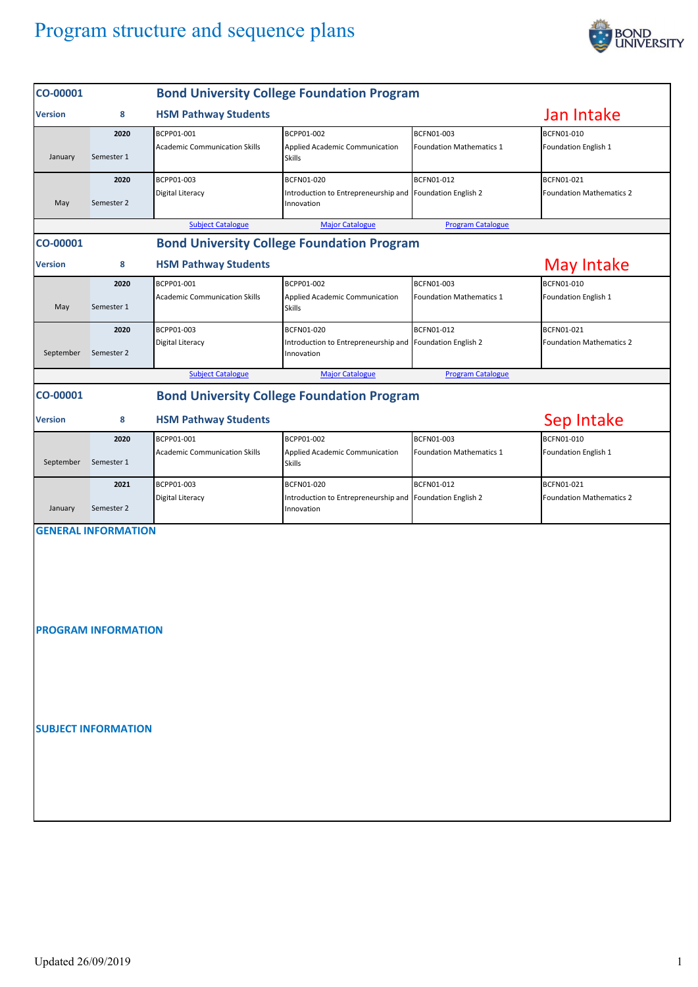## Program structure and sequence plans



| CO-00001       |                                                          |                                                    | <b>Bond University College Foundation Program</b>                                     |                                               |                                               |  |  |  |  |
|----------------|----------------------------------------------------------|----------------------------------------------------|---------------------------------------------------------------------------------------|-----------------------------------------------|-----------------------------------------------|--|--|--|--|
| <b>Version</b> | 8                                                        | <b>HSM Pathway Students</b>                        |                                                                                       |                                               |                                               |  |  |  |  |
| January        | 2020<br>Semester 1                                       | BCPP01-001<br><b>Academic Communication Skills</b> | BCPP01-002<br>Applied Academic Communication<br><b>Skills</b>                         | BCFN01-003<br><b>Foundation Mathematics 1</b> | BCFN01-010<br>Foundation English 1            |  |  |  |  |
| May            | 2020<br>Semester 2                                       | BCPP01-003<br>Digital Literacy                     | BCFN01-020<br>Introduction to Entrepreneurship and Foundation English 2<br>Innovation | BCFN01-012                                    | BCFN01-021<br><b>Foundation Mathematics 2</b> |  |  |  |  |
|                |                                                          | <b>Subject Catalogue</b>                           | <b>Major Catalogue</b>                                                                | <b>Program Catalogue</b>                      |                                               |  |  |  |  |
| CO-00001       | <b>Bond University College Foundation Program</b>        |                                                    |                                                                                       |                                               |                                               |  |  |  |  |
| <b>Version</b> | 8                                                        | <b>HSM Pathway Students</b>                        | <b>May Intake</b>                                                                     |                                               |                                               |  |  |  |  |
| May            | 2020<br>Semester 1                                       | BCPP01-001<br><b>Academic Communication Skills</b> | BCPP01-002<br>Applied Academic Communication<br><b>Skills</b>                         | BCFN01-003<br><b>Foundation Mathematics 1</b> | BCFN01-010<br>Foundation English 1            |  |  |  |  |
| September      | 2020<br>Semester 2                                       | BCPP01-003<br>Digital Literacy                     | BCFN01-020<br>Introduction to Entrepreneurship and<br>Innovation                      | <b>BCFN01-012</b><br>Foundation English 2     | BCFN01-021<br><b>Foundation Mathematics 2</b> |  |  |  |  |
|                |                                                          | <b>Subject Catalogue</b>                           | <b>Major Catalogue</b>                                                                | <b>Program Catalogue</b>                      |                                               |  |  |  |  |
| CO-00001       |                                                          |                                                    | <b>Bond University College Foundation Program</b>                                     |                                               |                                               |  |  |  |  |
| <b>Version</b> | Sep Intake<br><b>HSM Pathway Students</b><br>8           |                                                    |                                                                                       |                                               |                                               |  |  |  |  |
|                | 2020                                                     | BCPP01-001                                         | BCPP01-002                                                                            | BCFN01-003                                    | BCFN01-010                                    |  |  |  |  |
| September      | Semester 1                                               | <b>Academic Communication Skills</b>               | Applied Academic Communication<br><b>Skills</b>                                       | <b>Foundation Mathematics 1</b>               | Foundation English 1                          |  |  |  |  |
| January        | 2021<br>Semester 2                                       | BCPP01-003<br>Digital Literacy                     | BCFN01-020<br>Introduction to Entrepreneurship and<br>Innovation                      | BCFN01-012<br>Foundation English 2            | BCFN01-021<br><b>Foundation Mathematics 2</b> |  |  |  |  |
|                | <b>GENERAL INFORMATION</b><br><b>PROGRAM INFORMATION</b> |                                                    |                                                                                       |                                               |                                               |  |  |  |  |
|                | <b>SUBJECT INFORMATION</b>                               |                                                    |                                                                                       |                                               |                                               |  |  |  |  |